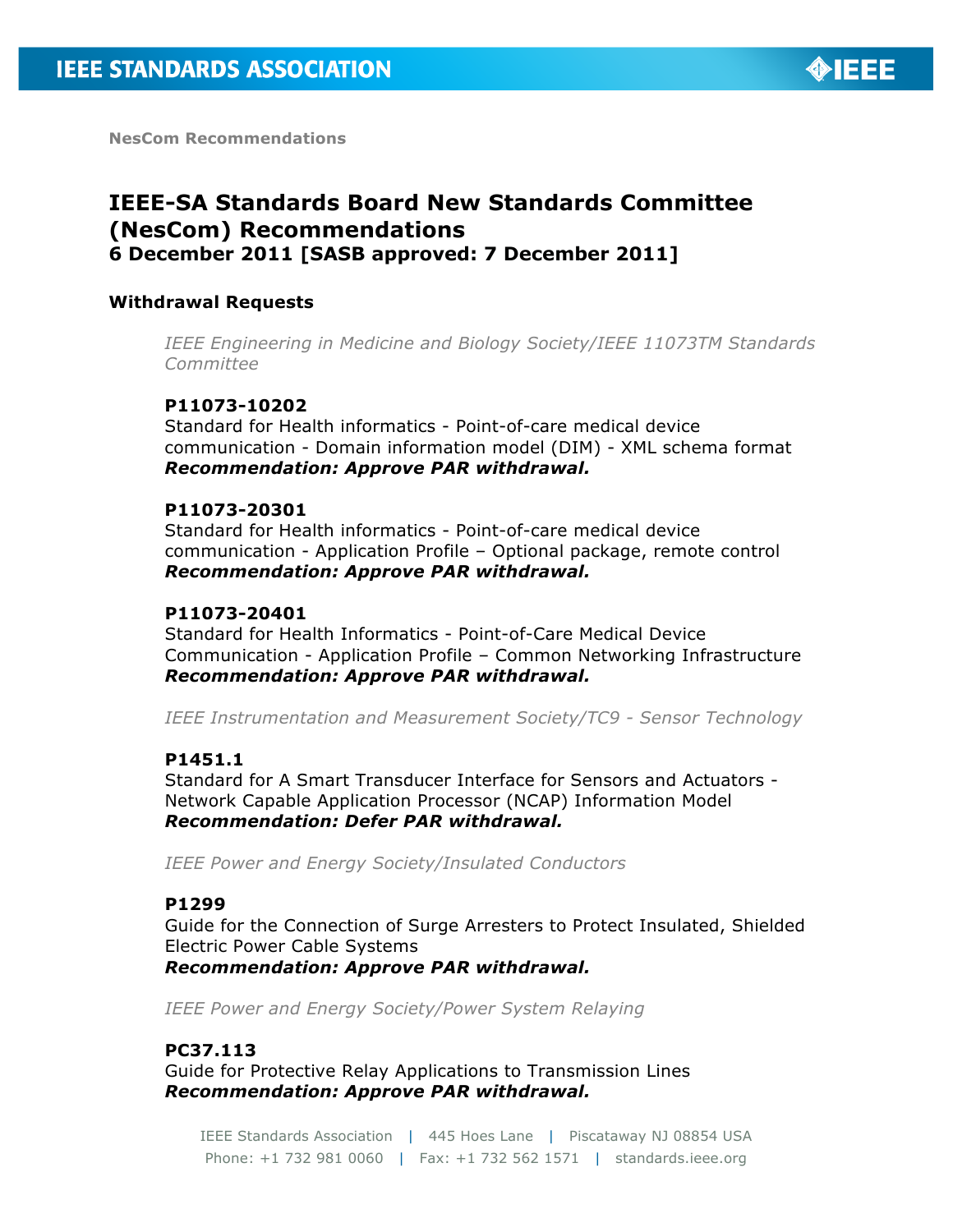

**NesCom Recommendations**

# **IEEE-SA Standards Board New Standards Committee (NesCom) Recommendations 6 December 2011 [SASB approved: 7 December 2011]**

#### **Withdrawal Requests**

*IEEE Engineering in Medicine and Biology Society/IEEE 11073TM Standards Committee*

#### **P11073-10202**

Standard for Health informatics - Point-of-care medical device communication - Domain information model (DIM) - XML schema format *Recommendation: Approve PAR withdrawal.*

#### **P11073-20301**

Standard for Health informatics - Point-of-care medical device communication - Application Profile – Optional package, remote control *Recommendation: Approve PAR withdrawal.*

#### **P11073-20401**

Standard for Health Informatics - Point-of-Care Medical Device Communication - Application Profile – Common Networking Infrastructure *Recommendation: Approve PAR withdrawal.*

*IEEE Instrumentation and Measurement Society/TC9 - Sensor Technology*

#### **P1451.1**

Standard for A Smart Transducer Interface for Sensors and Actuators - Network Capable Application Processor (NCAP) Information Model *Recommendation: Defer PAR withdrawal.*

*IEEE Power and Energy Society/Insulated Conductors*

#### **P1299**

Guide for the Connection of Surge Arresters to Protect Insulated, Shielded Electric Power Cable Systems *Recommendation: Approve PAR withdrawal.*

*IEEE Power and Energy Society/Power System Relaying*

#### **PC37.113**

Guide for Protective Relay Applications to Transmission Lines *Recommendation: Approve PAR withdrawal.*

IEEE Standards Association | 445 Hoes Lane | Piscataway NJ 08854 USA Phone: +1 732 981 0060 | Fax: +1 732 562 1571 | standards.ieee.org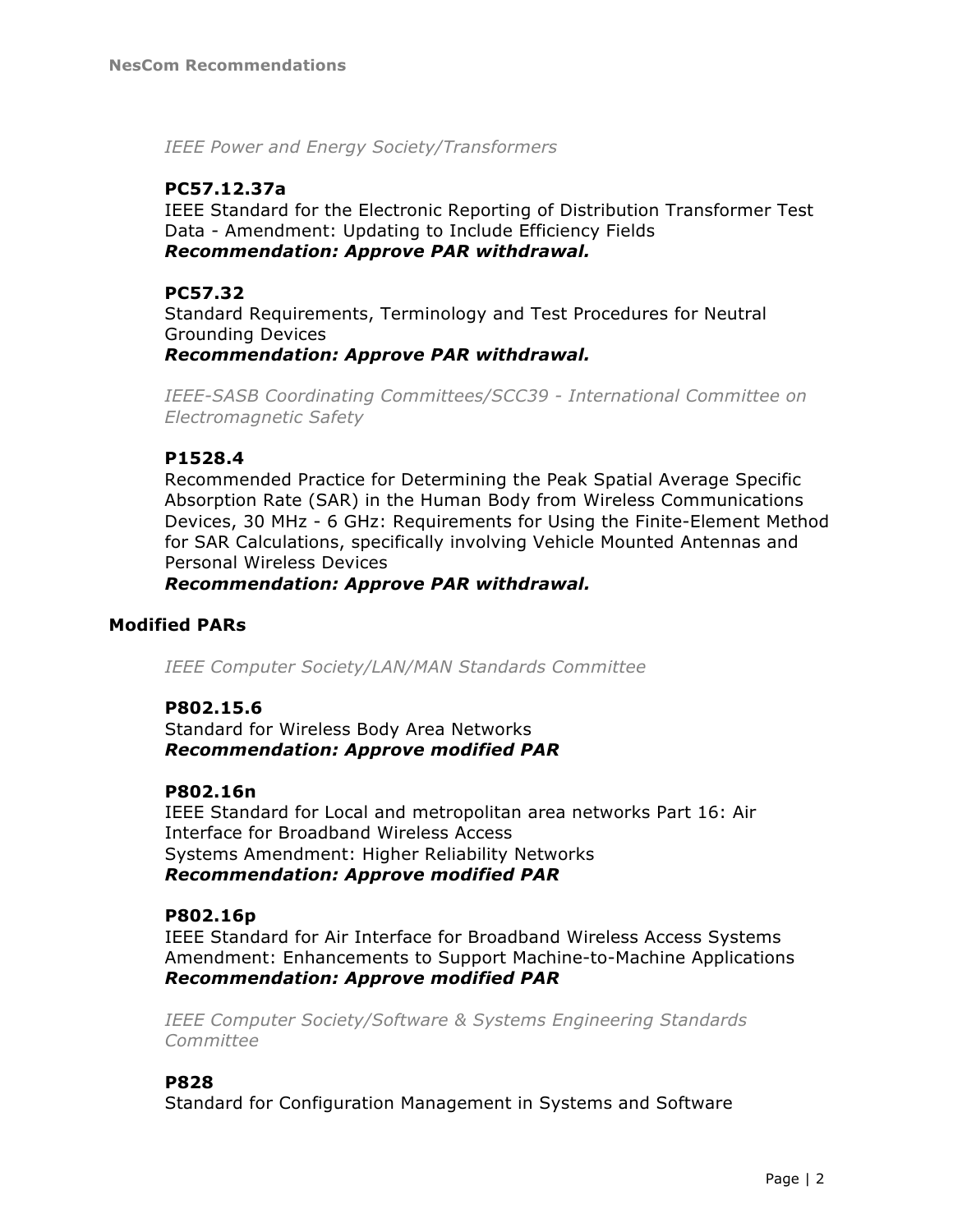*IEEE Power and Energy Society/Transformers*

## **PC57.12.37a**

IEEE Standard for the Electronic Reporting of Distribution Transformer Test Data - Amendment: Updating to Include Efficiency Fields *Recommendation: Approve PAR withdrawal.*

## **PC57.32**

Standard Requirements, Terminology and Test Procedures for Neutral Grounding Devices

*Recommendation: Approve PAR withdrawal.*

*IEEE-SASB Coordinating Committees/SCC39 - International Committee on Electromagnetic Safety*

## **P1528.4**

Recommended Practice for Determining the Peak Spatial Average Specific Absorption Rate (SAR) in the Human Body from Wireless Communications Devices, 30 MHz - 6 GHz: Requirements for Using the Finite-Element Method for SAR Calculations, specifically involving Vehicle Mounted Antennas and Personal Wireless Devices

*Recommendation: Approve PAR withdrawal.*

## **Modified PARs**

*IEEE Computer Society/LAN/MAN Standards Committee*

## **P802.15.6**

Standard for Wireless Body Area Networks *Recommendation: Approve modified PAR*

#### **P802.16n**

IEEE Standard for Local and metropolitan area networks Part 16: Air Interface for Broadband Wireless Access Systems Amendment: Higher Reliability Networks *Recommendation: Approve modified PAR*

#### **P802.16p**

IEEE Standard for Air Interface for Broadband Wireless Access Systems Amendment: Enhancements to Support Machine-to-Machine Applications *Recommendation: Approve modified PAR*

*IEEE Computer Society/Software & Systems Engineering Standards Committee*

## **P828**

Standard for Configuration Management in Systems and Software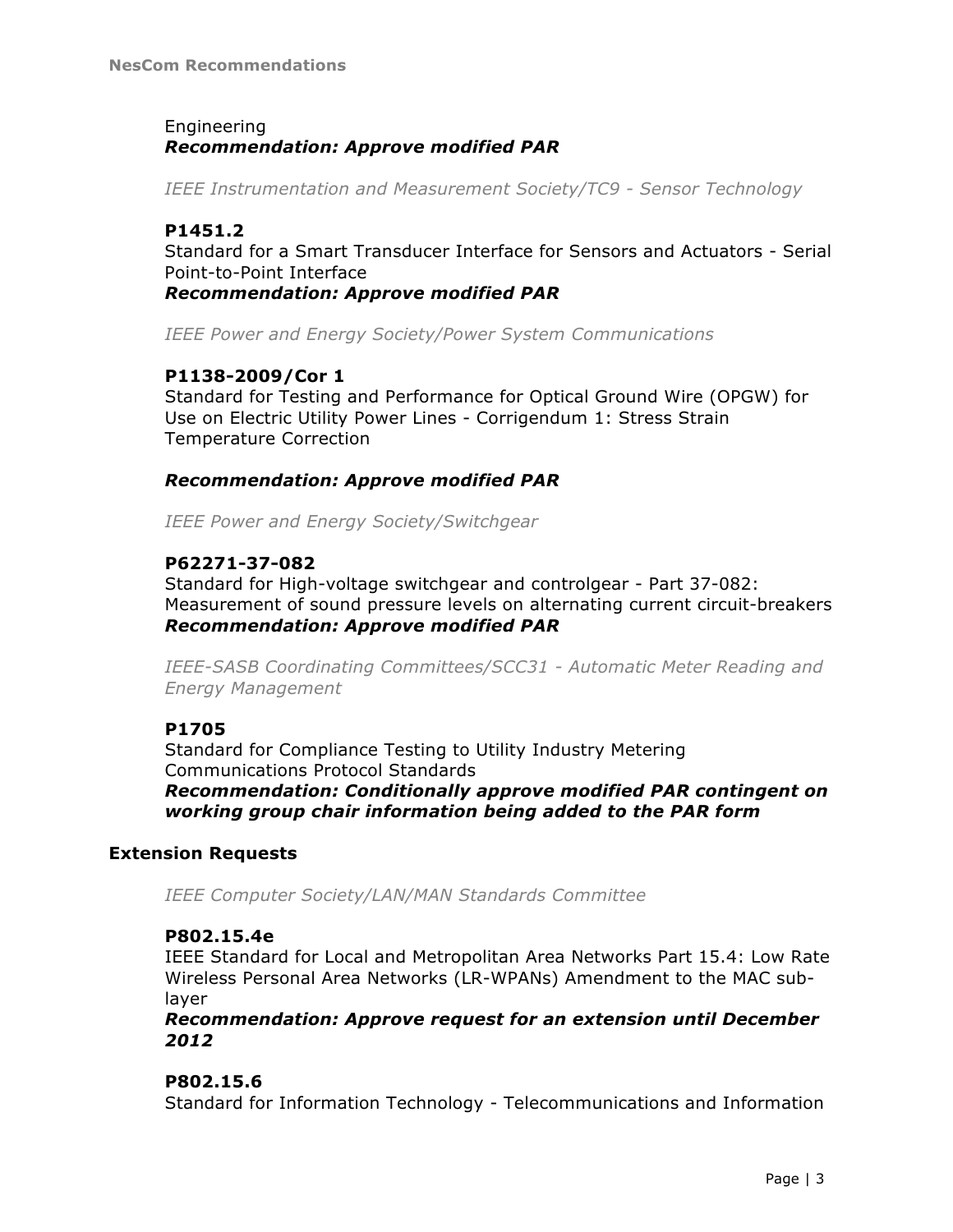## Engineering *Recommendation: Approve modified PAR*

*IEEE Instrumentation and Measurement Society/TC9 - Sensor Technology*

## **P1451.2**

Standard for a Smart Transducer Interface for Sensors and Actuators - Serial Point-to-Point Interface

*Recommendation: Approve modified PAR*

*IEEE Power and Energy Society/Power System Communications*

## **P1138-2009/Cor 1**

Standard for Testing and Performance for Optical Ground Wire (OPGW) for Use on Electric Utility Power Lines - Corrigendum 1: Stress Strain Temperature Correction

## *Recommendation: Approve modified PAR*

*IEEE Power and Energy Society/Switchgear*

## **P62271-37-082**

Standard for High-voltage switchgear and controlgear - Part 37-082: Measurement of sound pressure levels on alternating current circuit-breakers *Recommendation: Approve modified PAR*

*IEEE-SASB Coordinating Committees/SCC31 - Automatic Meter Reading and Energy Management*

## **P1705**

Standard for Compliance Testing to Utility Industry Metering Communications Protocol Standards *Recommendation: Conditionally approve modified PAR contingent on working group chair information being added to the PAR form*

## **Extension Requests**

*IEEE Computer Society/LAN/MAN Standards Committee*

## **P802.15.4e**

IEEE Standard for Local and Metropolitan Area Networks Part 15.4: Low Rate Wireless Personal Area Networks (LR-WPANs) Amendment to the MAC sublayer

*Recommendation: Approve request for an extension until December 2012*

## **P802.15.6**

Standard for Information Technology - Telecommunications and Information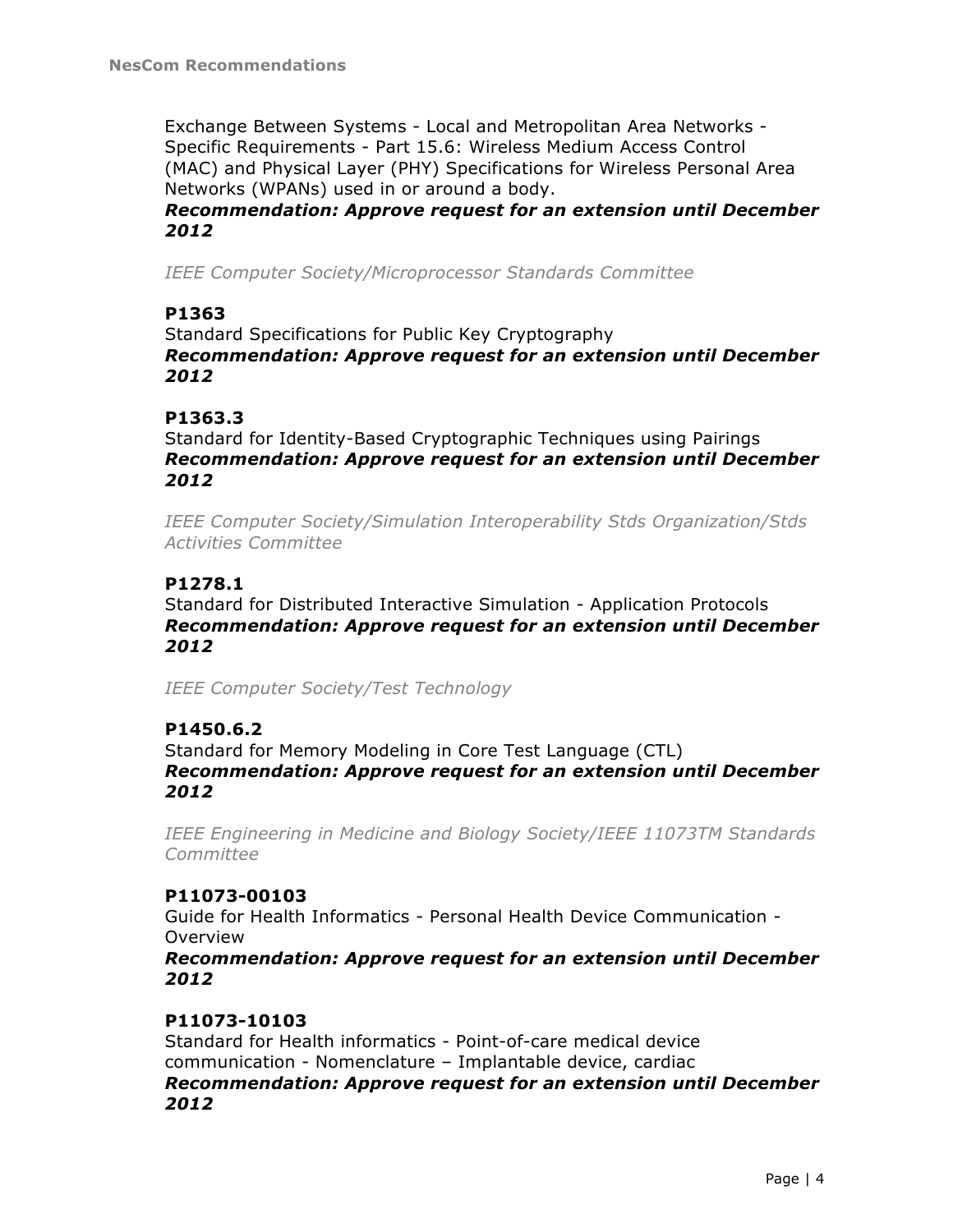Exchange Between Systems - Local and Metropolitan Area Networks - Specific Requirements - Part 15.6: Wireless Medium Access Control (MAC) and Physical Layer (PHY) Specifications for Wireless Personal Area Networks (WPANs) used in or around a body.

*Recommendation: Approve request for an extension until December 2012*

*IEEE Computer Society/Microprocessor Standards Committee*

## **P1363**

Standard Specifications for Public Key Cryptography *Recommendation: Approve request for an extension until December 2012*

## **P1363.3**

Standard for Identity-Based Cryptographic Techniques using Pairings *Recommendation: Approve request for an extension until December 2012*

*IEEE Computer Society/Simulation Interoperability Stds Organization/Stds Activities Committee*

## **P1278.1**

Standard for Distributed Interactive Simulation - Application Protocols *Recommendation: Approve request for an extension until December 2012*

*IEEE Computer Society/Test Technology*

## **P1450.6.2**

Standard for Memory Modeling in Core Test Language (CTL) *Recommendation: Approve request for an extension until December 2012*

*IEEE Engineering in Medicine and Biology Society/IEEE 11073TM Standards Committee*

## **P11073-00103**

Guide for Health Informatics - Personal Health Device Communication - Overview

*Recommendation: Approve request for an extension until December 2012*

## **P11073-10103**

Standard for Health informatics - Point-of-care medical device communication - Nomenclature – Implantable device, cardiac *Recommendation: Approve request for an extension until December 2012*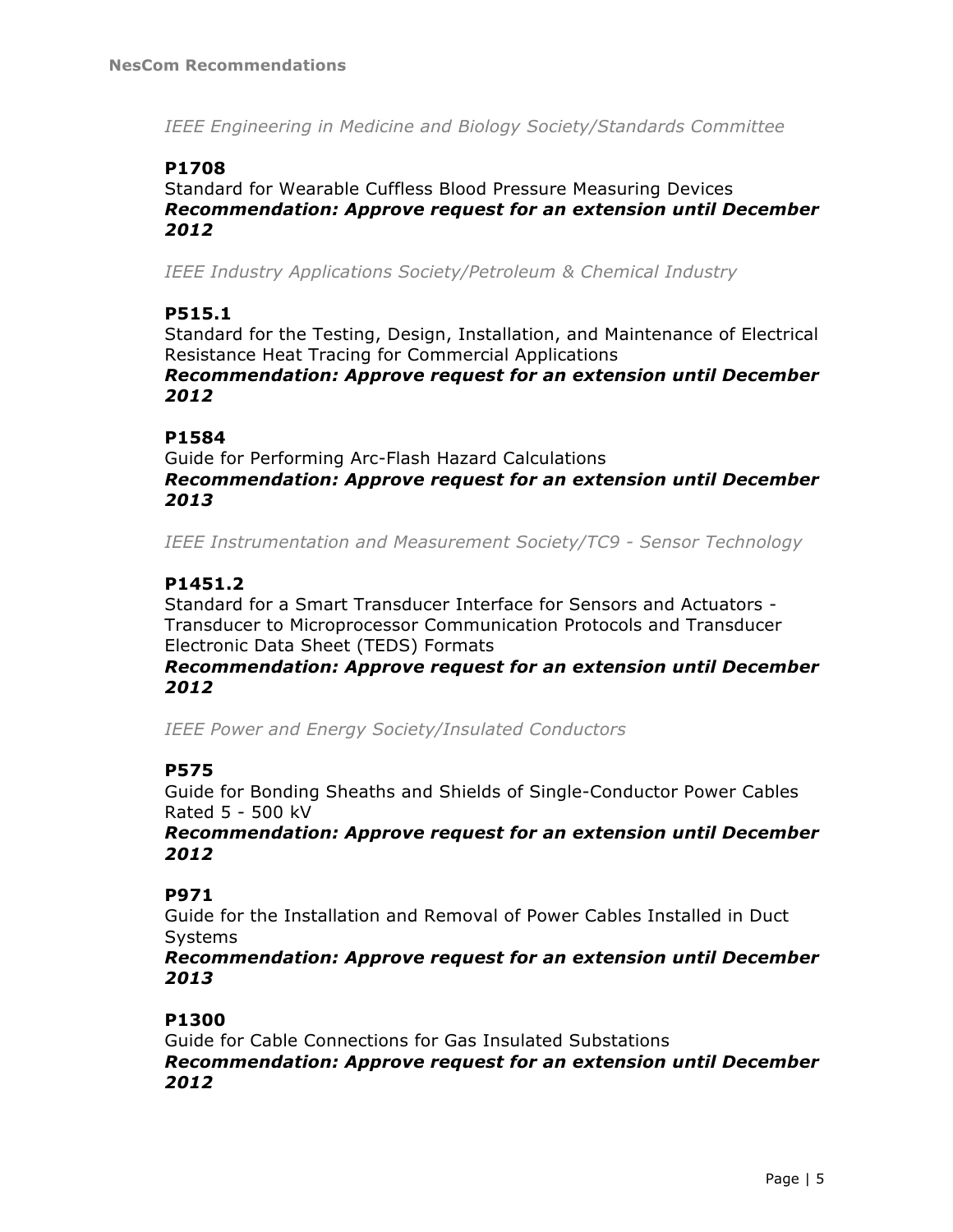*IEEE Engineering in Medicine and Biology Society/Standards Committee*

## **P1708**

Standard for Wearable Cuffless Blood Pressure Measuring Devices *Recommendation: Approve request for an extension until December 2012*

*IEEE Industry Applications Society/Petroleum & Chemical Industry*

## **P515.1**

Standard for the Testing, Design, Installation, and Maintenance of Electrical Resistance Heat Tracing for Commercial Applications *Recommendation: Approve request for an extension until December* 

# *2012*

## **P1584**

Guide for Performing Arc-Flash Hazard Calculations *Recommendation: Approve request for an extension until December 2013*

*IEEE Instrumentation and Measurement Society/TC9 - Sensor Technology*

## **P1451.2**

Standard for a Smart Transducer Interface for Sensors and Actuators - Transducer to Microprocessor Communication Protocols and Transducer Electronic Data Sheet (TEDS) Formats

#### *Recommendation: Approve request for an extension until December 2012*

*IEEE Power and Energy Society/Insulated Conductors*

## **P575**

Guide for Bonding Sheaths and Shields of Single-Conductor Power Cables Rated 5 - 500 kV

*Recommendation: Approve request for an extension until December 2012*

## **P971**

Guide for the Installation and Removal of Power Cables Installed in Duct Systems

*Recommendation: Approve request for an extension until December 2013*

## **P1300**

Guide for Cable Connections for Gas Insulated Substations *Recommendation: Approve request for an extension until December 2012*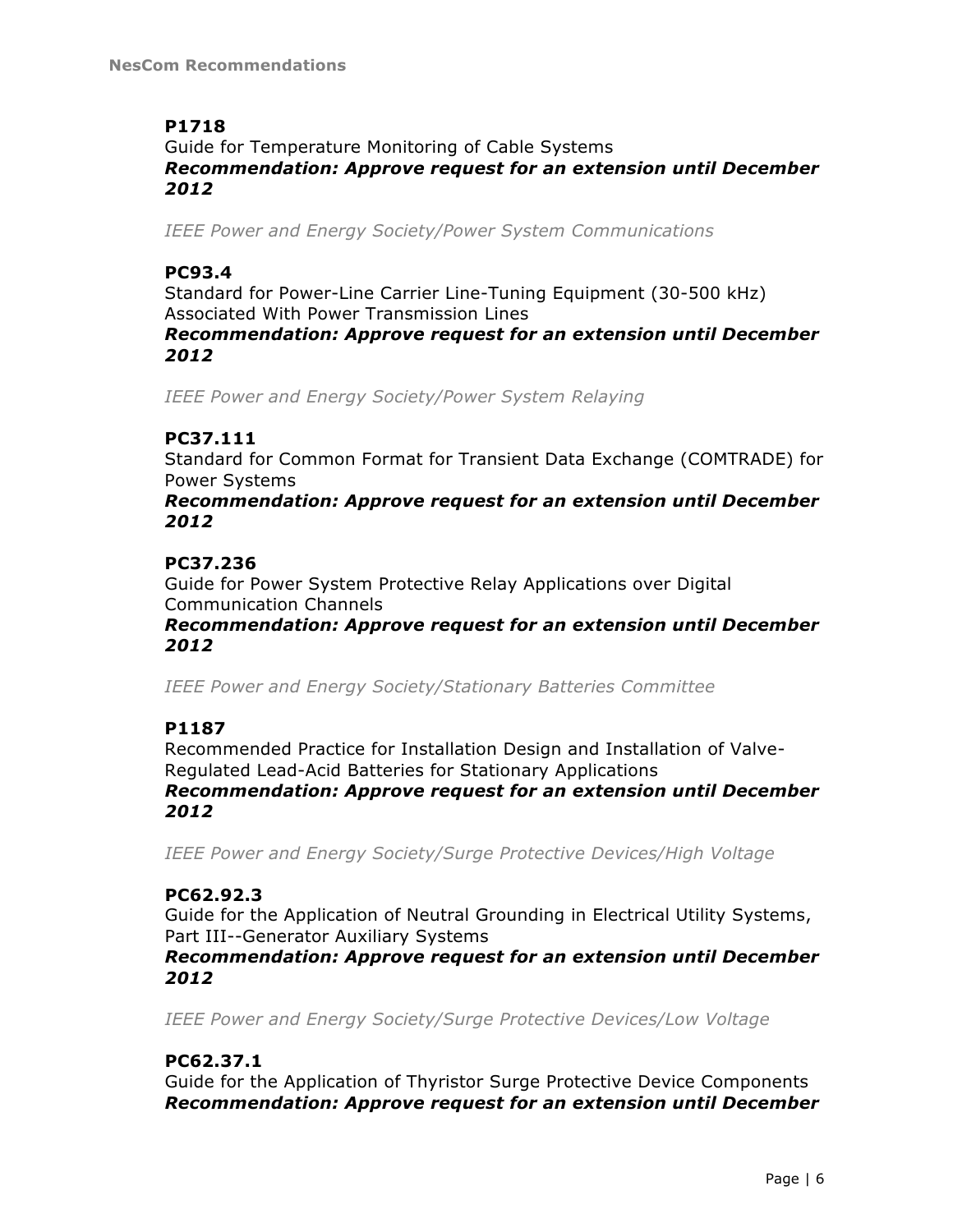# **P1718**

Guide for Temperature Monitoring of Cable Systems *Recommendation: Approve request for an extension until December 2012*

*IEEE Power and Energy Society/Power System Communications*

## **PC93.4**

Standard for Power-Line Carrier Line-Tuning Equipment (30-500 kHz) Associated With Power Transmission Lines

*Recommendation: Approve request for an extension until December 2012*

*IEEE Power and Energy Society/Power System Relaying*

## **PC37.111**

Standard for Common Format for Transient Data Exchange (COMTRADE) for Power Systems

*Recommendation: Approve request for an extension until December 2012*

## **PC37.236**

Guide for Power System Protective Relay Applications over Digital Communication Channels

*Recommendation: Approve request for an extension until December 2012*

*IEEE Power and Energy Society/Stationary Batteries Committee*

# **P1187**

Recommended Practice for Installation Design and Installation of Valve-Regulated Lead-Acid Batteries for Stationary Applications *Recommendation: Approve request for an extension until December 2012*

*IEEE Power and Energy Society/Surge Protective Devices/High Voltage*

## **PC62.92.3**

Guide for the Application of Neutral Grounding in Electrical Utility Systems, Part III--Generator Auxiliary Systems

*Recommendation: Approve request for an extension until December 2012*

*IEEE Power and Energy Society/Surge Protective Devices/Low Voltage*

## **PC62.37.1**

Guide for the Application of Thyristor Surge Protective Device Components *Recommendation: Approve request for an extension until December*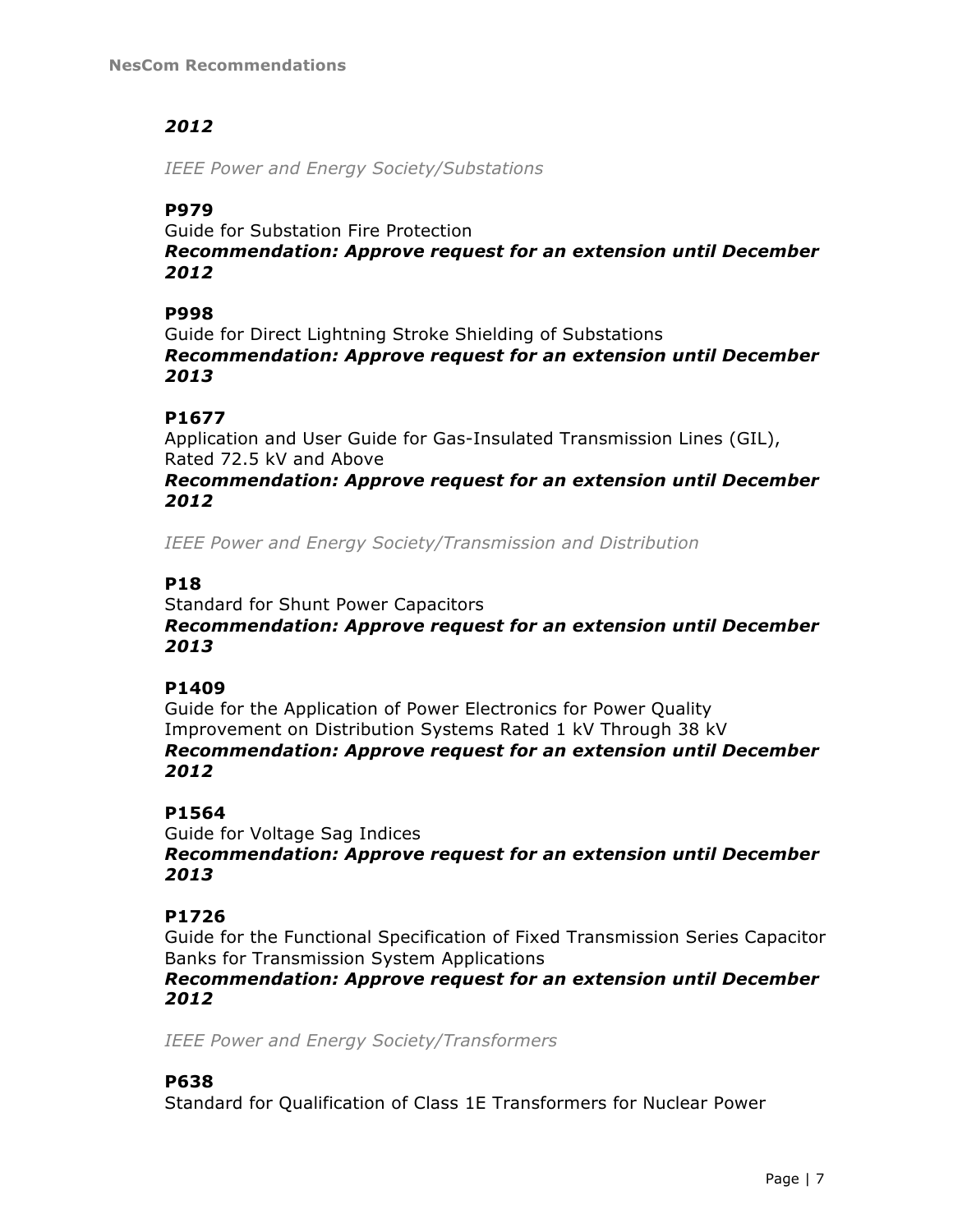# *2012*

*IEEE Power and Energy Society/Substations*

# **P979**

Guide for Substation Fire Protection *Recommendation: Approve request for an extension until December 2012*

## **P998**

Guide for Direct Lightning Stroke Shielding of Substations *Recommendation: Approve request for an extension until December 2013*

## **P1677**

Application and User Guide for Gas-Insulated Transmission Lines (GIL), Rated 72.5 kV and Above

## *Recommendation: Approve request for an extension until December 2012*

*IEEE Power and Energy Society/Transmission and Distribution*

## **P18**

Standard for Shunt Power Capacitors *Recommendation: Approve request for an extension until December 2013*

## **P1409**

Guide for the Application of Power Electronics for Power Quality Improvement on Distribution Systems Rated 1 kV Through 38 kV *Recommendation: Approve request for an extension until December 2012*

# **P1564**

Guide for Voltage Sag Indices *Recommendation: Approve request for an extension until December 2013*

# **P1726**

Guide for the Functional Specification of Fixed Transmission Series Capacitor Banks for Transmission System Applications

## *Recommendation: Approve request for an extension until December 2012*

*IEEE Power and Energy Society/Transformers*

# **P638**

Standard for Qualification of Class 1E Transformers for Nuclear Power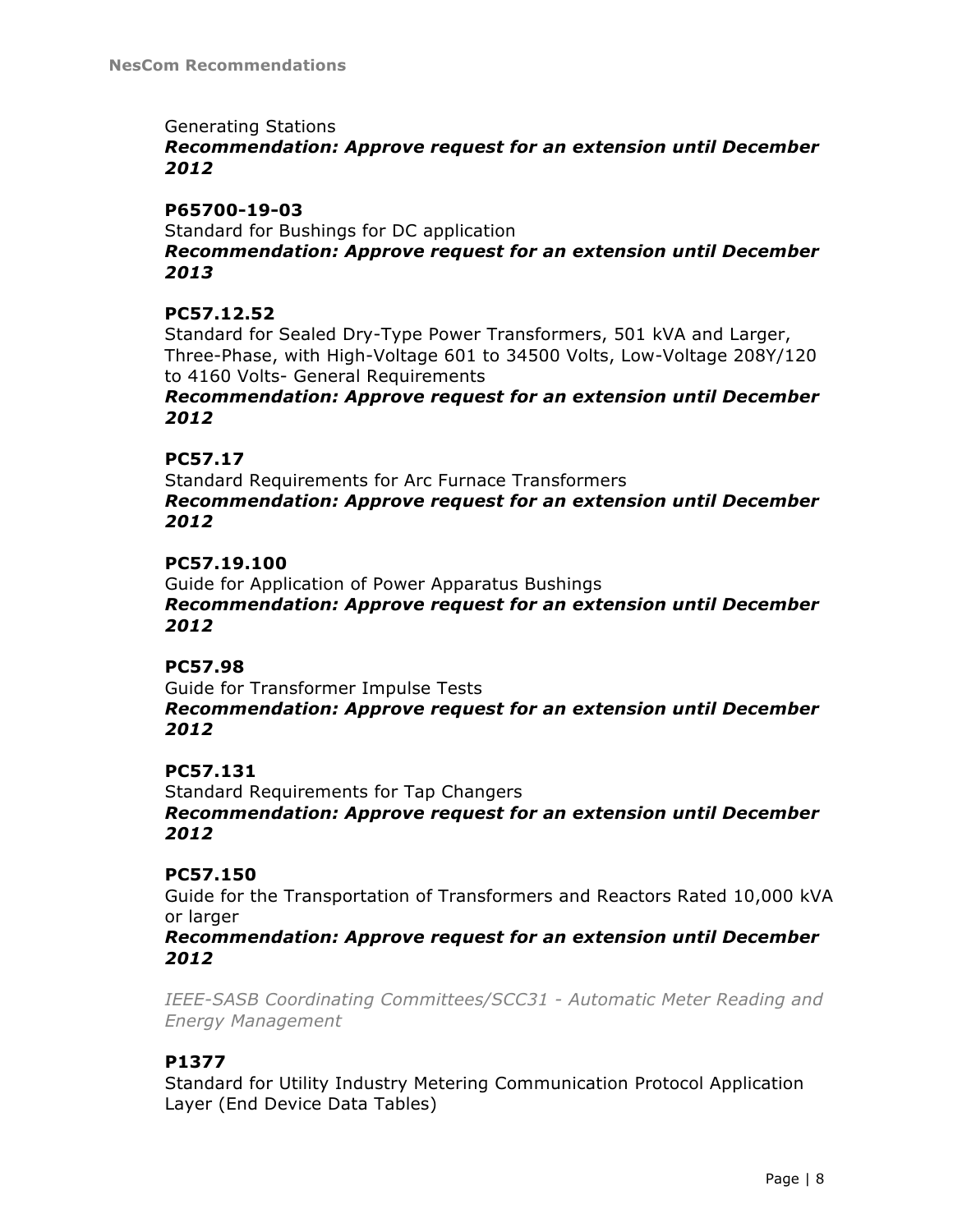## Generating Stations

## *Recommendation: Approve request for an extension until December 2012*

## **P65700-19-03**

Standard for Bushings for DC application *Recommendation: Approve request for an extension until December 2013*

## **PC57.12.52**

Standard for Sealed Dry-Type Power Transformers, 501 kVA and Larger, Three-Phase, with High-Voltage 601 to 34500 Volts, Low-Voltage 208Y/120 to 4160 Volts- General Requirements

*Recommendation: Approve request for an extension until December 2012*

## **PC57.17**

Standard Requirements for Arc Furnace Transformers *Recommendation: Approve request for an extension until December 2012*

#### **PC57.19.100**

Guide for Application of Power Apparatus Bushings *Recommendation: Approve request for an extension until December 2012*

## **PC57.98**

Guide for Transformer Impulse Tests *Recommendation: Approve request for an extension until December 2012*

## **PC57.131**

Standard Requirements for Tap Changers *Recommendation: Approve request for an extension until December 2012*

## **PC57.150**

Guide for the Transportation of Transformers and Reactors Rated 10,000 kVA or larger

*Recommendation: Approve request for an extension until December 2012*

*IEEE-SASB Coordinating Committees/SCC31 - Automatic Meter Reading and Energy Management*

## **P1377**

Standard for Utility Industry Metering Communication Protocol Application Layer (End Device Data Tables)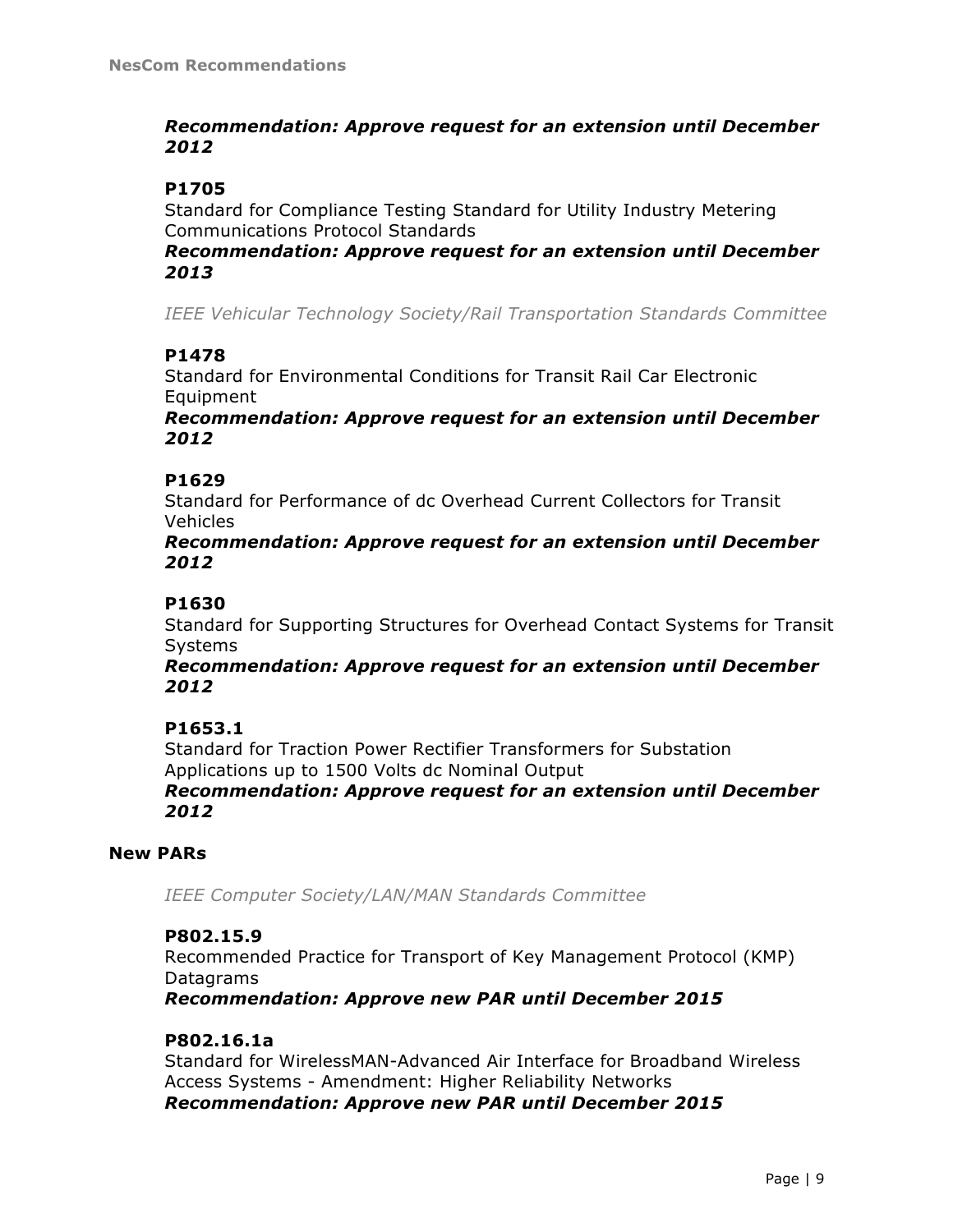## *Recommendation: Approve request for an extension until December 2012*

## **P1705**

Standard for Compliance Testing Standard for Utility Industry Metering Communications Protocol Standards

## *Recommendation: Approve request for an extension until December 2013*

*IEEE Vehicular Technology Society/Rail Transportation Standards Committee*

## **P1478**

Standard for Environmental Conditions for Transit Rail Car Electronic Equipment

*Recommendation: Approve request for an extension until December 2012*

## **P1629**

Standard for Performance of dc Overhead Current Collectors for Transit Vehicles

*Recommendation: Approve request for an extension until December 2012*

## **P1630**

Standard for Supporting Structures for Overhead Contact Systems for Transit Systems

*Recommendation: Approve request for an extension until December 2012*

## **P1653.1**

Standard for Traction Power Rectifier Transformers for Substation Applications up to 1500 Volts dc Nominal Output

*Recommendation: Approve request for an extension until December 2012*

## **New PARs**

*IEEE Computer Society/LAN/MAN Standards Committee*

## **P802.15.9**

Recommended Practice for Transport of Key Management Protocol (KMP) Datagrams

*Recommendation: Approve new PAR until December 2015*

## **P802.16.1a**

Standard for WirelessMAN-Advanced Air Interface for Broadband Wireless Access Systems - Amendment: Higher Reliability Networks *Recommendation: Approve new PAR until December 2015*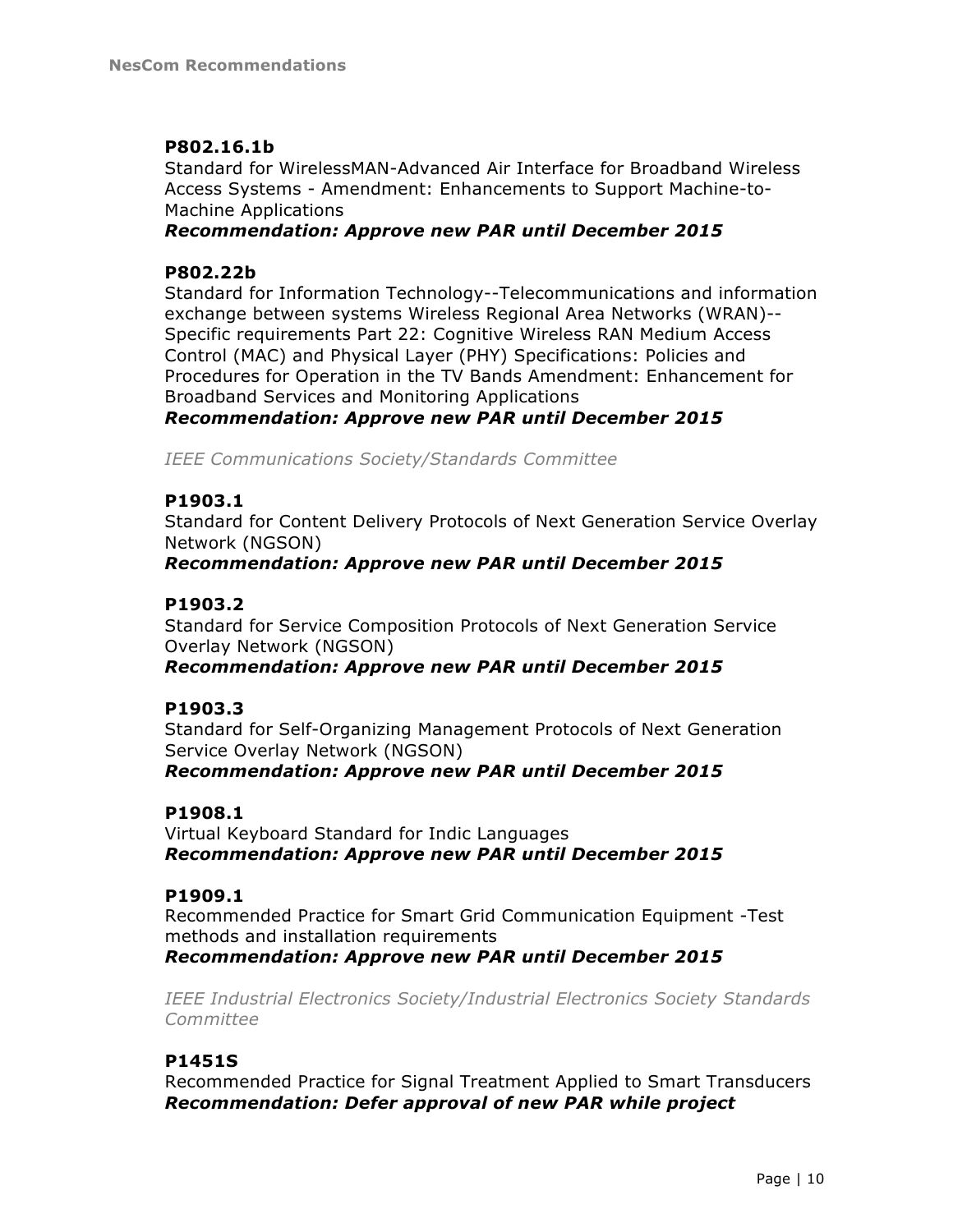## **P802.16.1b**

Standard for WirelessMAN-Advanced Air Interface for Broadband Wireless Access Systems - Amendment: Enhancements to Support Machine-to-Machine Applications

## *Recommendation: Approve new PAR until December 2015*

## **P802.22b**

Standard for Information Technology--Telecommunications and information exchange between systems Wireless Regional Area Networks (WRAN)-- Specific requirements Part 22: Cognitive Wireless RAN Medium Access Control (MAC) and Physical Layer (PHY) Specifications: Policies and Procedures for Operation in the TV Bands Amendment: Enhancement for Broadband Services and Monitoring Applications *Recommendation: Approve new PAR until December 2015*

*IEEE Communications Society/Standards Committee*

## **P1903.1**

Standard for Content Delivery Protocols of Next Generation Service Overlay Network (NGSON)

*Recommendation: Approve new PAR until December 2015*

## **P1903.2**

Standard for Service Composition Protocols of Next Generation Service Overlay Network (NGSON)

*Recommendation: Approve new PAR until December 2015*

## **P1903.3**

Standard for Self-Organizing Management Protocols of Next Generation Service Overlay Network (NGSON)

*Recommendation: Approve new PAR until December 2015*

## **P1908.1**

Virtual Keyboard Standard for Indic Languages *Recommendation: Approve new PAR until December 2015*

## **P1909.1**

Recommended Practice for Smart Grid Communication Equipment -Test methods and installation requirements *Recommendation: Approve new PAR until December 2015*

*IEEE Industrial Electronics Society/Industrial Electronics Society Standards Committee*

## **P1451S**

Recommended Practice for Signal Treatment Applied to Smart Transducers *Recommendation: Defer approval of new PAR while project*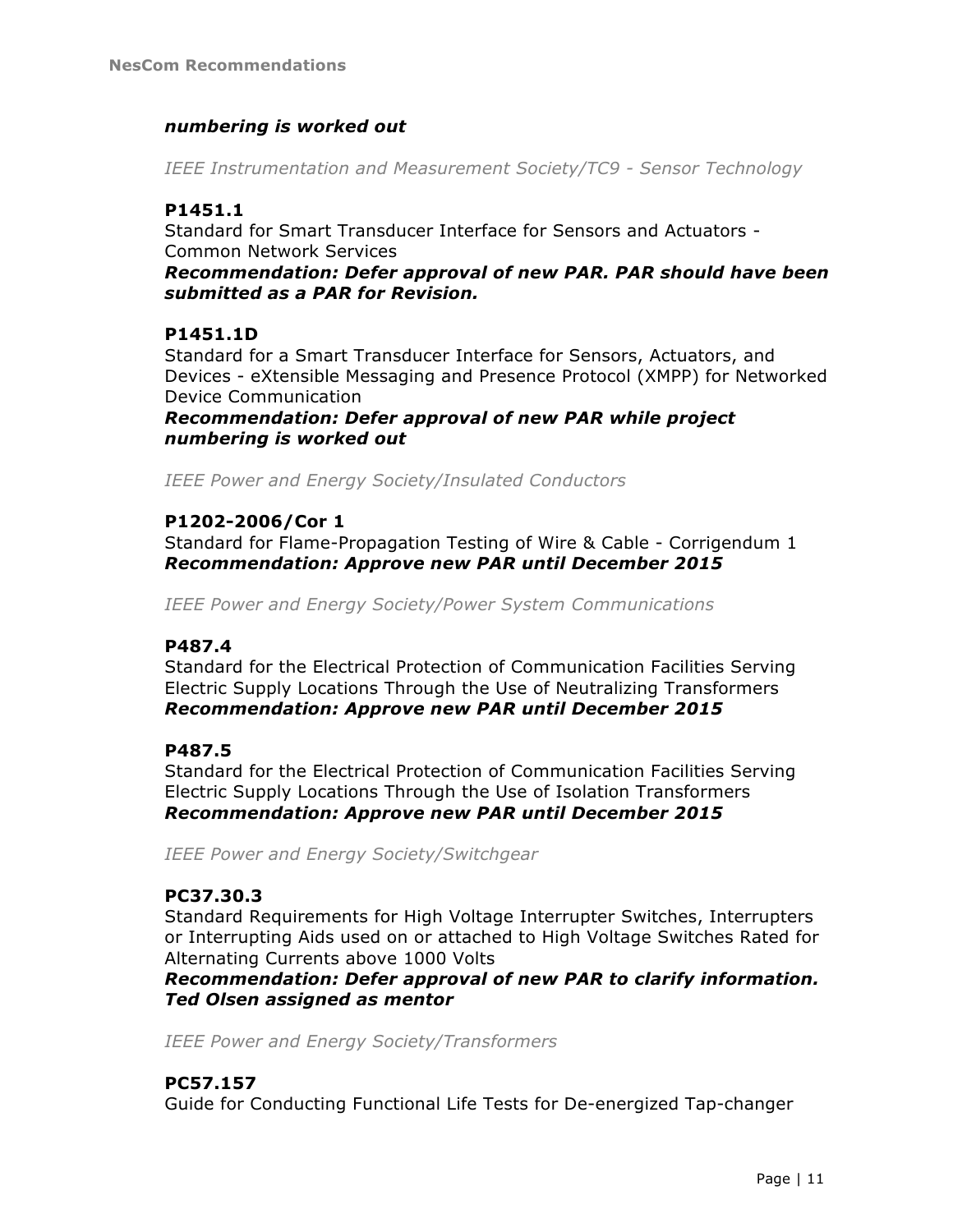## *numbering is worked out*

*IEEE Instrumentation and Measurement Society/TC9 - Sensor Technology*

## **P1451.1**

Standard for Smart Transducer Interface for Sensors and Actuators - Common Network Services

*Recommendation: Defer approval of new PAR. PAR should have been submitted as a PAR for Revision.*

## **P1451.1D**

Standard for a Smart Transducer Interface for Sensors, Actuators, and Devices - eXtensible Messaging and Presence Protocol (XMPP) for Networked Device Communication

*Recommendation: Defer approval of new PAR while project numbering is worked out*

*IEEE Power and Energy Society/Insulated Conductors*

## **P1202-2006/Cor 1**

Standard for Flame-Propagation Testing of Wire & Cable - Corrigendum 1 *Recommendation: Approve new PAR until December 2015*

*IEEE Power and Energy Society/Power System Communications*

## **P487.4**

Standard for the Electrical Protection of Communication Facilities Serving Electric Supply Locations Through the Use of Neutralizing Transformers *Recommendation: Approve new PAR until December 2015*

## **P487.5**

Standard for the Electrical Protection of Communication Facilities Serving Electric Supply Locations Through the Use of Isolation Transformers *Recommendation: Approve new PAR until December 2015*

*IEEE Power and Energy Society/Switchgear*

## **PC37.30.3**

Standard Requirements for High Voltage Interrupter Switches, Interrupters or Interrupting Aids used on or attached to High Voltage Switches Rated for Alternating Currents above 1000 Volts

*Recommendation: Defer approval of new PAR to clarify information. Ted Olsen assigned as mentor*

*IEEE Power and Energy Society/Transformers*

## **PC57.157**

Guide for Conducting Functional Life Tests for De-energized Tap-changer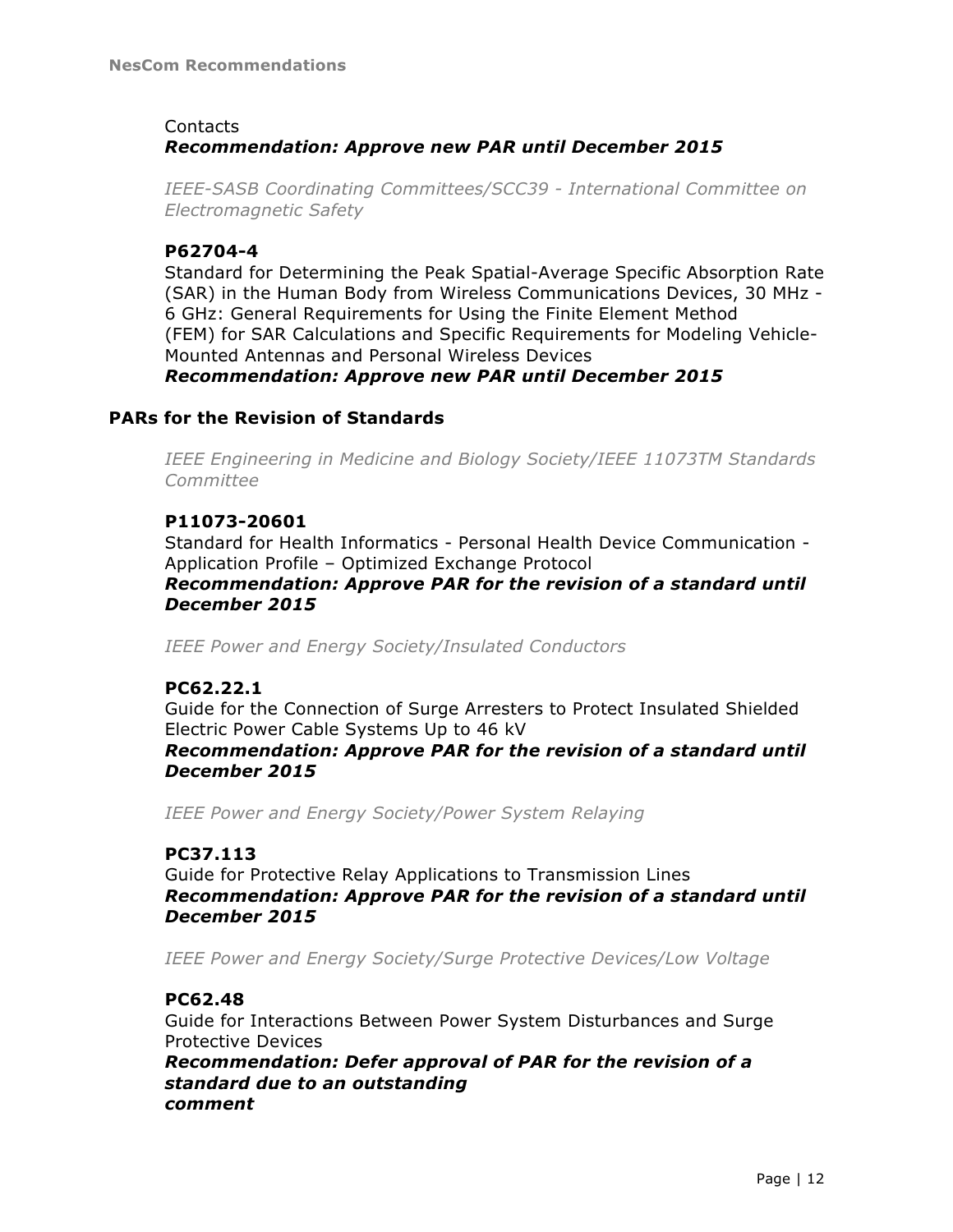## Contacts *Recommendation: Approve new PAR until December 2015*

*IEEE-SASB Coordinating Committees/SCC39 - International Committee on Electromagnetic Safety*

## **P62704-4**

Standard for Determining the Peak Spatial-Average Specific Absorption Rate (SAR) in the Human Body from Wireless Communications Devices, 30 MHz - 6 GHz: General Requirements for Using the Finite Element Method (FEM) for SAR Calculations and Specific Requirements for Modeling Vehicle-Mounted Antennas and Personal Wireless Devices

*Recommendation: Approve new PAR until December 2015*

## **PARs for the Revision of Standards**

*IEEE Engineering in Medicine and Biology Society/IEEE 11073TM Standards Committee*

## **P11073-20601**

Standard for Health Informatics - Personal Health Device Communication - Application Profile – Optimized Exchange Protocol *Recommendation: Approve PAR for the revision of a standard until December 2015*

*IEEE Power and Energy Society/Insulated Conductors*

## **PC62.22.1**

Guide for the Connection of Surge Arresters to Protect Insulated Shielded Electric Power Cable Systems Up to 46 kV *Recommendation: Approve PAR for the revision of a standard until December 2015*

*IEEE Power and Energy Society/Power System Relaying*

## **PC37.113**

Guide for Protective Relay Applications to Transmission Lines *Recommendation: Approve PAR for the revision of a standard until December 2015*

*IEEE Power and Energy Society/Surge Protective Devices/Low Voltage*

## **PC62.48**

Guide for Interactions Between Power System Disturbances and Surge Protective Devices

*Recommendation: Defer approval of PAR for the revision of a standard due to an outstanding comment*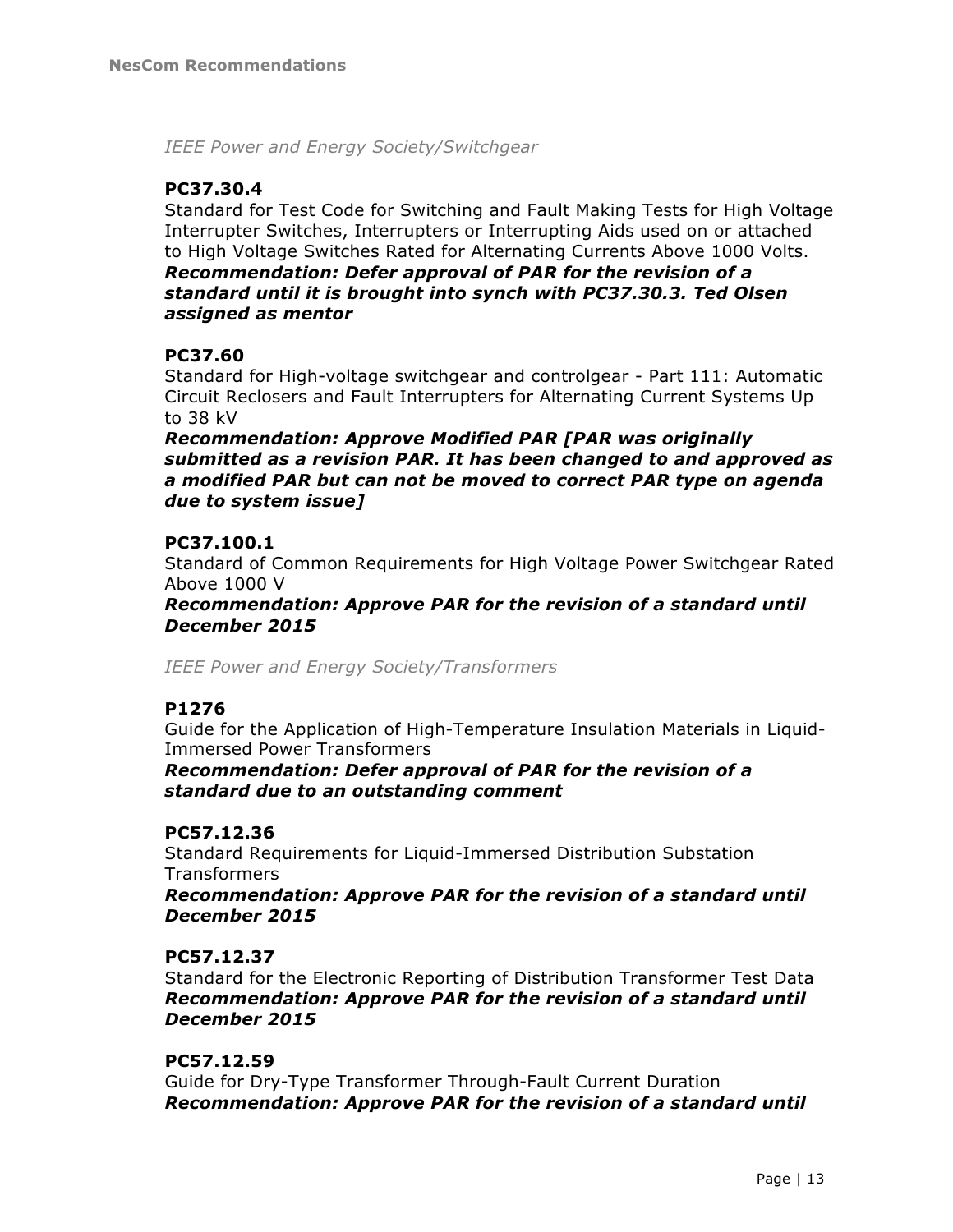*IEEE Power and Energy Society/Switchgear*

## **PC37.30.4**

Standard for Test Code for Switching and Fault Making Tests for High Voltage Interrupter Switches, Interrupters or Interrupting Aids used on or attached to High Voltage Switches Rated for Alternating Currents Above 1000 Volts. *Recommendation: Defer approval of PAR for the revision of a standard until it is brought into synch with PC37.30.3. Ted Olsen assigned as mentor*

## **PC37.60**

Standard for High-voltage switchgear and controlgear - Part 111: Automatic Circuit Reclosers and Fault Interrupters for Alternating Current Systems Up to 38 kV

*Recommendation: Approve Modified PAR [PAR was originally submitted as a revision PAR. It has been changed to and approved as a modified PAR but can not be moved to correct PAR type on agenda due to system issue]*

## **PC37.100.1**

Standard of Common Requirements for High Voltage Power Switchgear Rated Above 1000 V

*Recommendation: Approve PAR for the revision of a standard until December 2015*

*IEEE Power and Energy Society/Transformers*

## **P1276**

Guide for the Application of High-Temperature Insulation Materials in Liquid-Immersed Power Transformers

*Recommendation: Defer approval of PAR for the revision of a standard due to an outstanding comment*

## **PC57.12.36**

Standard Requirements for Liquid-Immersed Distribution Substation **Transformers** 

*Recommendation: Approve PAR for the revision of a standard until December 2015*

## **PC57.12.37**

Standard for the Electronic Reporting of Distribution Transformer Test Data *Recommendation: Approve PAR for the revision of a standard until December 2015*

## **PC57.12.59**

Guide for Dry-Type Transformer Through-Fault Current Duration *Recommendation: Approve PAR for the revision of a standard until*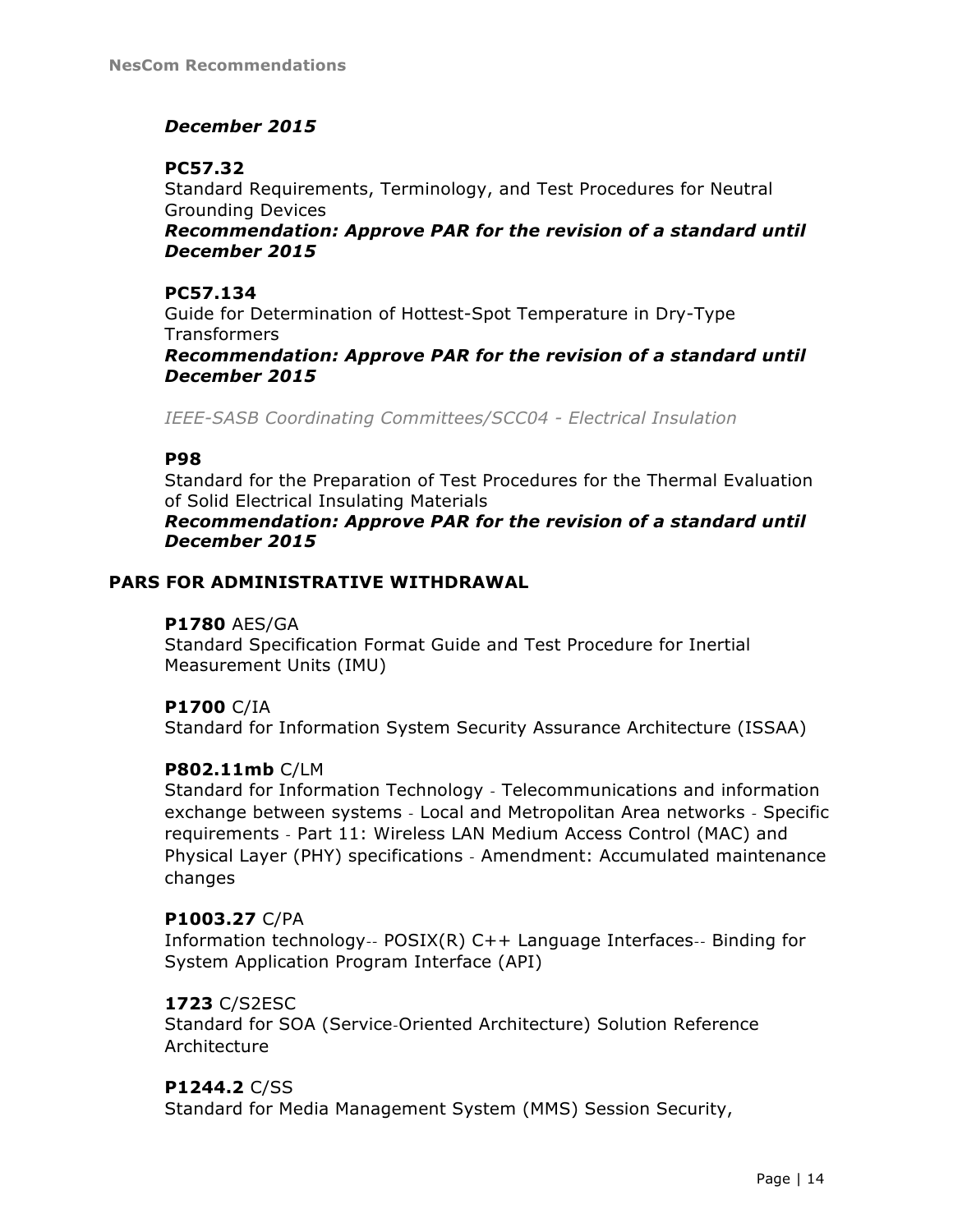## *December 2015*

## **PC57.32**

Standard Requirements, Terminology, and Test Procedures for Neutral Grounding Devices

*Recommendation: Approve PAR for the revision of a standard until December 2015*

## **PC57.134**

Guide for Determination of Hottest-Spot Temperature in Dry-Type **Transformers** 

*Recommendation: Approve PAR for the revision of a standard until December 2015*

*IEEE-SASB Coordinating Committees/SCC04 - Electrical Insulation*

## **P98**

Standard for the Preparation of Test Procedures for the Thermal Evaluation of Solid Electrical Insulating Materials

*Recommendation: Approve PAR for the revision of a standard until December 2015*

## **PARS FOR ADMINISTRATIVE WITHDRAWAL**

#### **P1780** AES/GA

Standard Specification Format Guide and Test Procedure for Inertial Measurement Units (IMU)

## **P1700** C/IA

Standard for Information System Security Assurance Architecture (ISSAA)

## **P802.11mb** C/LM

Standard for Information Technology ‐ Telecommunications and information exchange between systems ‐ Local and Metropolitan Area networks ‐ Specific requirements ‐ Part 11: Wireless LAN Medium Access Control (MAC) and Physical Layer (PHY) specifications ‐ Amendment: Accumulated maintenance changes

#### **P1003.27** C/PA

Information technology‐‐ POSIX(R) C++ Language Interfaces‐‐ Binding for System Application Program Interface (API)

## **1723** C/S2ESC

Standard for SOA (Service‐Oriented Architecture) Solution Reference Architecture

## **P1244.2** C/SS

Standard for Media Management System (MMS) Session Security,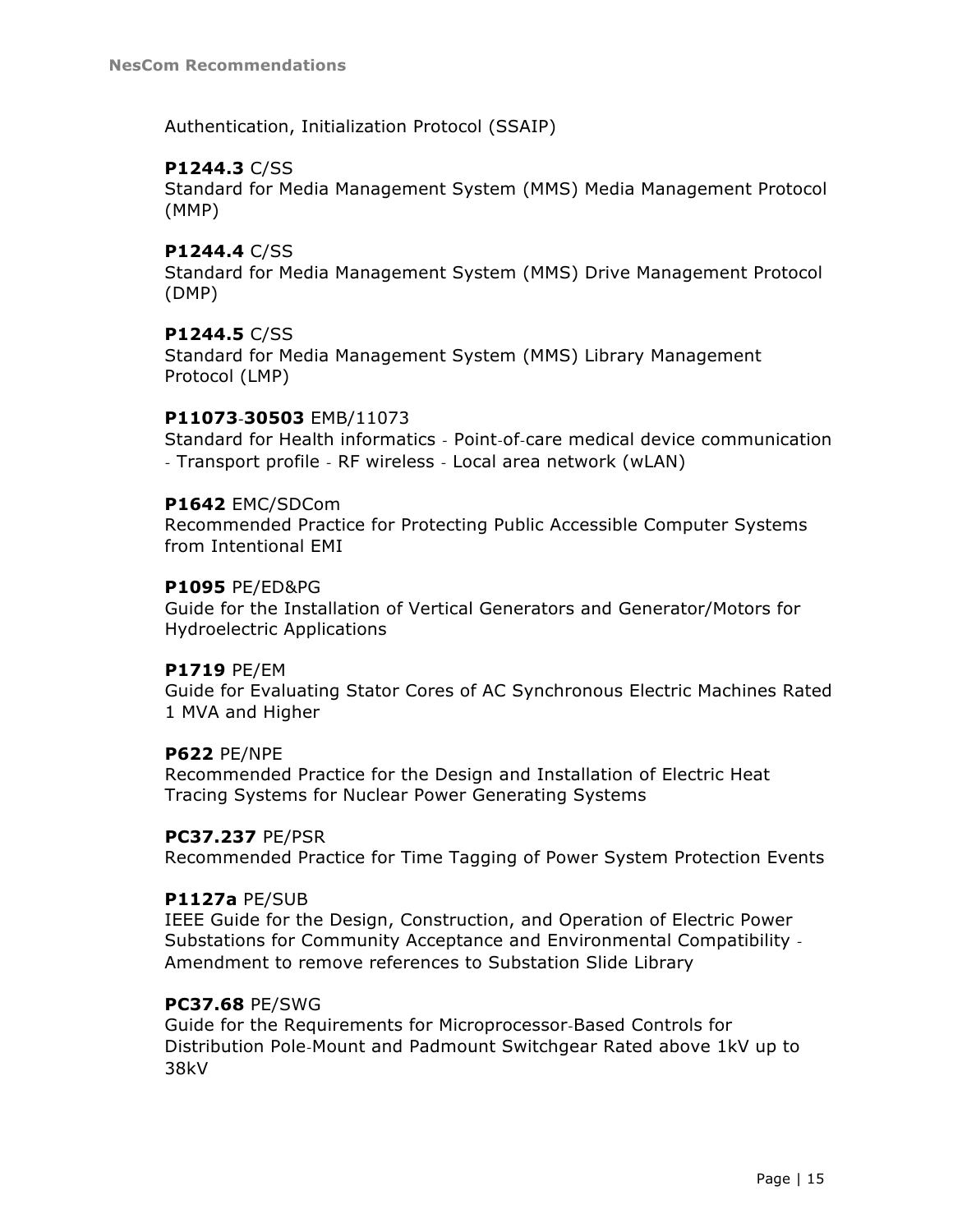Authentication, Initialization Protocol (SSAIP)

## **P1244.3** C/SS

Standard for Media Management System (MMS) Media Management Protocol (MMP)

## **P1244.4** C/SS

Standard for Media Management System (MMS) Drive Management Protocol (DMP)

## **P1244.5** C/SS

Standard for Media Management System (MMS) Library Management Protocol (LMP)

## **P11073‐30503** EMB/11073

Standard for Health informatics ‐ Point‐of‐care medical device communication ‐ Transport profile ‐ RF wireless ‐ Local area network (wLAN)

#### **P1642** EMC/SDCom

Recommended Practice for Protecting Public Accessible Computer Systems from Intentional EMI

#### **P1095** PE/ED&PG

Guide for the Installation of Vertical Generators and Generator/Motors for Hydroelectric Applications

## **P1719** PE/EM

Guide for Evaluating Stator Cores of AC Synchronous Electric Machines Rated 1 MVA and Higher

#### **P622** PE/NPE

Recommended Practice for the Design and Installation of Electric Heat Tracing Systems for Nuclear Power Generating Systems

#### **PC37.237** PE/PSR

Recommended Practice for Time Tagging of Power System Protection Events

#### **P1127a** PE/SUB

IEEE Guide for the Design, Construction, and Operation of Electric Power Substations for Community Acceptance and Environmental Compatibility ‐ Amendment to remove references to Substation Slide Library

#### **PC37.68** PE/SWG

Guide for the Requirements for Microprocessor‐Based Controls for Distribution Pole‐Mount and Padmount Switchgear Rated above 1kV up to 38kV